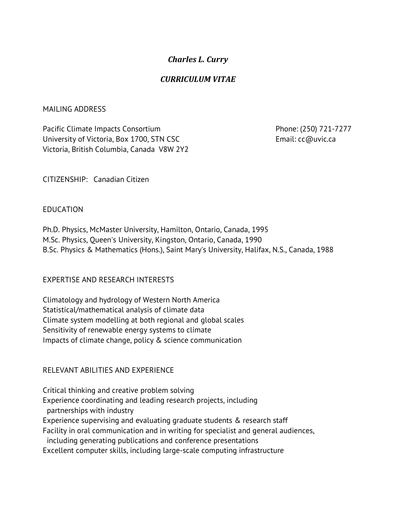# *Charles L. Curry*

# *CURRICULUM VITAE*

#### MAILING ADDRESS

Pacific Climate Impacts Consortium Phone: (250) 721-7277 University of Victoria, Box 1700, STN CSC Email: cc@uvic.ca Victoria, British Columbia, Canada V8W 2Y2

CITIZENSHIP: Canadian Citizen

### EDUCATION

Ph.D. Physics, McMaster University, Hamilton, Ontario, Canada, 1995 M.Sc. Physics, Queen's University, Kingston, Ontario, Canada, 1990 B.Sc. Physics & Mathematics (Hons.), Saint Mary's University, Halifax, N.S., Canada, 1988

### EXPERTISE AND RESEARCH INTERESTS

Climatology and hydrology of Western North America Statistical/mathematical analysis of climate data Climate system modelling at both regional and global scales Sensitivity of renewable energy systems to climate Impacts of climate change, policy & science communication

## RELEVANT ABILITIES AND EXPERIENCE

Critical thinking and creative problem solving Experience coordinating and leading research projects, including partnerships with industry Experience supervising and evaluating graduate students & research staff Facility in oral communication and in writing for specialist and general audiences, including generating publications and conference presentations Excellent computer skills, including large-scale computing infrastructure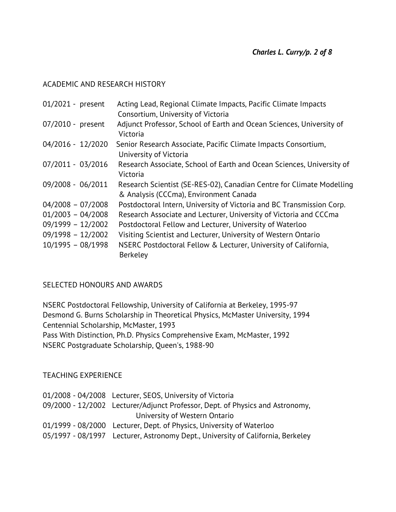### ACADEMIC AND RESEARCH HISTORY

| Acting Lead, Regional Climate Impacts, Pacific Climate Impacts                                                  |
|-----------------------------------------------------------------------------------------------------------------|
| Consortium, University of Victoria                                                                              |
| Adjunct Professor, School of Earth and Ocean Sciences, University of<br>Victoria                                |
| Senior Research Associate, Pacific Climate Impacts Consortium,<br>University of Victoria                        |
| Research Associate, School of Earth and Ocean Sciences, University of<br>Victoria                               |
| Research Scientist (SE-RES-02), Canadian Centre for Climate Modelling<br>& Analysis (CCCma), Environment Canada |
| Postdoctoral Intern, University of Victoria and BC Transmission Corp.                                           |
| Research Associate and Lecturer, University of Victoria and CCCma                                               |
| Postdoctoral Fellow and Lecturer, University of Waterloo                                                        |
| Visiting Scientist and Lecturer, University of Western Ontario                                                  |
| NSERC Postdoctoral Fellow & Lecturer, University of California,                                                 |
| Berkeley                                                                                                        |
|                                                                                                                 |

## SELECTED HONOURS AND AWARDS

NSERC Postdoctoral Fellowship, University of California at Berkeley, 1995-97 Desmond G. Burns Scholarship in Theoretical Physics, McMaster University, 1994 Centennial Scholarship, McMaster, 1993 Pass With Distinction, Ph.D. Physics Comprehensive Exam, McMaster, 1992

NSERC Postgraduate Scholarship, Queen's, 1988-90

### TEACHING EXPERIENCE

| 01/2008 - 04/2008 Lecturer, SEOS, University of Victoria                        |
|---------------------------------------------------------------------------------|
| 09/2000 - 12/2002 Lecturer/Adjunct Professor, Dept. of Physics and Astronomy,   |
| University of Western Ontario                                                   |
| 01/1999 - 08/2000 Lecturer, Dept. of Physics, University of Waterloo            |
| 05/1997 - 08/1997 Lecturer, Astronomy Dept., University of California, Berkeley |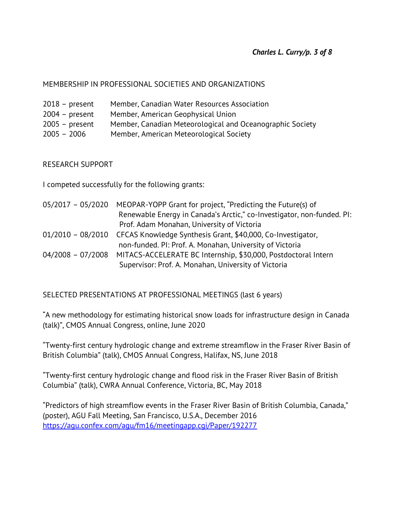### MEMBERSHIP IN PROFESSIONAL SOCIETIES AND ORGANIZATIONS

| $2018$ – present | Member, Canadian Water Resources Association              |
|------------------|-----------------------------------------------------------|
| $2004 - present$ | Member, American Geophysical Union                        |
| $2005 - present$ | Member, Canadian Meteorological and Oceanographic Society |

2005 – 2006 Member, American Meteorological Society

RESEARCH SUPPORT

I competed successfully for the following grants:

| $05/2017 - 05/2020$ | MEOPAR-YOPP Grant for project, "Predicting the Future(s) of                   |
|---------------------|-------------------------------------------------------------------------------|
|                     | Renewable Energy in Canada's Arctic," co-Investigator, non-funded. PI:        |
|                     | Prof. Adam Monahan, University of Victoria                                    |
|                     | 01/2010 - 08/2010 CFCAS Knowledge Synthesis Grant, \$40,000, Co-Investigator, |
|                     | non-funded. PI: Prof. A. Monahan, University of Victoria                      |
| $04/2008 - 07/2008$ | MITACS-ACCELERATE BC Internship, \$30,000, Postdoctoral Intern                |
|                     | Supervisor: Prof. A. Monahan, University of Victoria                          |

SELECTED PRESENTATIONS AT PROFESSIONAL MEETINGS (last 6 years)

"A new methodology for estimating historical snow loads for infrastructure design in Canada (talk)", CMOS Annual Congress, online, June 2020

"Twenty-first century hydrologic change and extreme streamflow in the Fraser River Basin of British Columbia" (talk), CMOS Annual Congress, Halifax, NS, June 2018

"Twenty-first century hydrologic change and flood risk in the Fraser River Basin of British Columbia" (talk), CWRA Annual Conference, Victoria, BC, May 2018

"Predictors of high streamflow events in the Fraser River Basin of British Columbia, Canada," (poster), AGU Fall Meeting, San Francisco, U.S.A., December 2016 https://agu.confex.com/agu/fm16/meetingapp.cgi/Paper/192277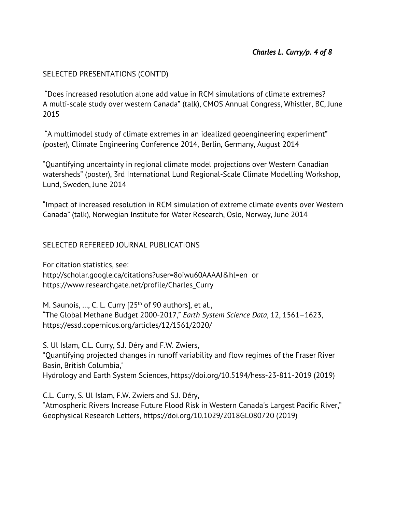## SELECTED PRESENTATIONS (CONT'D)

"Does increased resolution alone add value in RCM simulations of climate extremes? A multi-scale study over western Canada" (talk), CMOS Annual Congress, Whistler, BC, June 2015

"A multimodel study of climate extremes in an idealized geoengineering experiment" (poster), Climate Engineering Conference 2014, Berlin, Germany, August 2014

"Quantifying uncertainty in regional climate model projections over Western Canadian watersheds" (poster), 3rd International Lund Regional-Scale Climate Modelling Workshop, Lund, Sweden, June 2014

"Impact of increased resolution in RCM simulation of extreme climate events over Western Canada" (talk), Norwegian Institute for Water Research, Oslo, Norway, June 2014

## SELECTED REFEREED JOURNAL PUBLICATIONS

For citation statistics, see: http://scholar.google.ca/citations?user=8oiwu60AAAAJ&hl=en or https://www.researchgate.net/profile/Charles\_Curry

M. Saunois, ..., C. L. Curry  $[25<sup>th</sup>$  of 90 authors], et al., "The Global Methane Budget 2000-2017," *Earth System Science Data*, 12, 1561–1623, https://essd.copernicus.org/articles/12/1561/2020/

S. Ul Islam, C.L. Curry, S.J. Déry and F.W. Zwiers, "Quantifying projected changes in runoff variability and flow regimes of the Fraser River Basin, British Columbia," Hydrology and Earth System Sciences, https://doi.org/10.5194/hess-23-811-2019 (2019)

C.L. Curry, S. Ul Islam, F.W. Zwiers and S.J. Déry, "Atmospheric Rivers Increase Future Flood Risk in Western Canada's Largest Pacific River," Geophysical Research Letters, https://doi.org/10.1029/2018GL080720 (2019)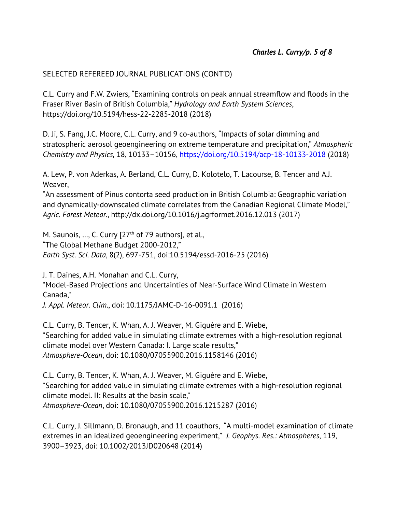## SELECTED REFEREED JOURNAL PUBLICATIONS (CONT'D)

C.L. Curry and F.W. Zwiers, "Examining controls on peak annual streamflow and floods in the Fraser River Basin of British Columbia," *Hydrology and Earth System Sciences*, https://doi.org/10.5194/hess-22-2285-2018 (2018)

D. Ji, S. Fang, J.C. Moore, C.L. Curry, and 9 co-authors, "Impacts of solar dimming and stratospheric aerosol geoengineering on extreme temperature and precipitation," *Atmospheric Chemistry and Physics,* 18, 10133–10156, https://doi.org/10.5194/acp-18-10133-2018 (2018)

A. Lew, P. von Aderkas, A. Berland, C.L. Curry, D. Kolotelo, T. Lacourse, B. Tencer and A.J. Weaver,

"An assessment of Pinus contorta seed production in British Columbia: Geographic variation and dynamically-downscaled climate correlates from the Canadian Regional Climate Model," *Agric. Forest Meteor.*, http://dx.doi.org/10.1016/j.agrformet.2016.12.013 (2017)

M. Saunois, ..., C. Curry [27<sup>th</sup> of 79 authors], et al., "The Global Methane Budget 2000-2012," *Earth Syst. Sci. Data*, 8(2), 697-751, doi:10.5194/essd-2016-25 (2016)

J. T. Daines, A.H. Monahan and C.L. Curry, "Model-Based Projections and Uncertainties of Near-Surface Wind Climate in Western Canada,"

*J. Appl. Meteor. Clim*., doi: 10.1175/JAMC-D-16-0091.1 (2016)

C.L. Curry, B. Tencer, K. Whan, A. J. Weaver, M. Giguère and E. Wiebe, "Searching for added value in simulating climate extremes with a high-resolution regional climate model over Western Canada: I. Large scale results," *Atmosphere-Ocean*, doi: 10.1080/07055900.2016.1158146 (2016)

C.L. Curry, B. Tencer, K. Whan, A. J. Weaver, M. Giguère and E. Wiebe, "Searching for added value in simulating climate extremes with a high-resolution regional climate model. II: Results at the basin scale," *Atmosphere-Ocean*, doi: 10.1080/07055900.2016.1215287 (2016)

C.L. Curry, J. Sillmann, D. Bronaugh, and 11 coauthors, "A multi-model examination of climate extremes in an idealized geoengineering experiment," *J. Geophys. Res.: Atmospheres*, 119, 3900–3923, doi: 10.1002/2013JD020648 (2014)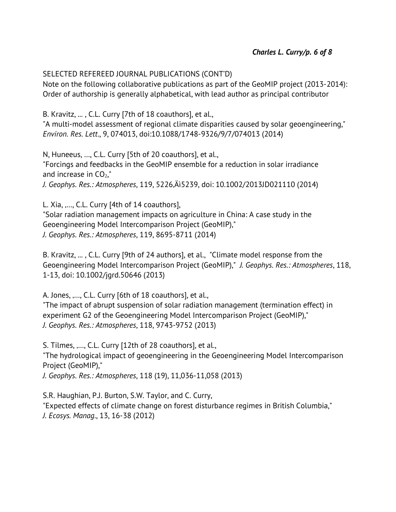### SELECTED REFEREED JOURNAL PUBLICATIONS (CONT'D)

Note on the following collaborative publications as part of the GeoMIP project (2013-2014): Order of authorship is generally alphabetical, with lead author as principal contributor

B. Kravitz, ... , C.L. Curry [7th of 18 coauthors], et al.,

"A multi-model assessment of regional climate disparities caused by solar geoengineering," *Environ. Res. Lett*., 9, 074013, doi:10.1088/1748-9326/9/7/074013 (2014)

N, Huneeus, …, C.L. Curry [5th of 20 coauthors], et al., "Forcings and feedbacks in the GeoMIP ensemble for a reduction in solar irradiance and increase in  $CO<sub>2</sub>$ ," *J. Geophys. Res.: Atmospheres*, 119, 5226–5239, doi: 10.1002/2013JD021110 (2014)

L. Xia, ...., C.L. Curry [4th of 14 coauthors], "Solar radiation management impacts on agriculture in China: A case study in the Geoengineering Model Intercomparison Project (GeoMIP)," *J. Geophys. Res.: Atmospheres*, 119, 8695-8711 (2014)

B. Kravitz, ... , C.L. Curry [9th of 24 authors], et al., "Climate model response from the Geoengineering Model Intercomparison Project (GeoMIP)," *J. Geophys. Res.: Atmospheres*, 118, 1-13, doi: 10.1002/jgrd.50646 (2013)

A. Jones, ...., C.L. Curry [6th of 18 coauthors], et al.,

"The impact of abrupt suspension of solar radiation management (termination effect) in experiment G2 of the Geoengineering Model Intercomparison Project (GeoMIP)," *J. Geophys. Res.: Atmospheres*, 118, 9743-9752 (2013)

S. Tilmes, ...., C.L. Curry [12th of 28 coauthors], et al., "The hydrological impact of geoengineering in the Geoengineering Model Intercomparison Project (GeoMIP),"

*J. Geophys. Res.: Atmospheres*, 118 (19), 11,036-11,058 (2013)

S.R. Haughian, P.J. Burton, S.W. Taylor, and C. Curry, "Expected effects of climate change on forest disturbance regimes in British Columbia," *J. Ecosys. Manag*., 13, 16-38 (2012)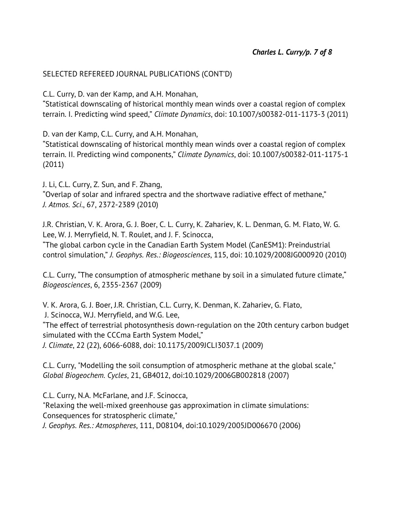## SELECTED REFEREED JOURNAL PUBLICATIONS (CONT'D)

C.L. Curry, D. van der Kamp, and A.H. Monahan,

"Statistical downscaling of historical monthly mean winds over a coastal region of complex terrain. I. Predicting wind speed," *Climate Dynamics*, doi: 10.1007/s00382-011-1173-3 (2011)

D. van der Kamp, C.L. Curry, and A.H. Monahan,

"Statistical downscaling of historical monthly mean winds over a coastal region of complex terrain. II. Predicting wind components," *Climate Dynamics*, doi: 10.1007/s00382-011-1175-1 (2011)

J. Li, C.L. Curry, Z. Sun, and F. Zhang, "Overlap of solar and infrared spectra and the shortwave radiative effect of methane," *J. Atmos. Sci*., 67, 2372-2389 (2010)

J.R. Christian, V. K. Arora, G. J. Boer, C. L. Curry, K. Zahariev, K. L. Denman, G. M. Flato, W. G. Lee, W. J. Merryfield, N. T. Roulet, and J. F. Scinocca,

"The global carbon cycle in the Canadian Earth System Model (CanESM1): Preindustrial control simulation," *J. Geophys. Res.: Biogeosciences*, 115, doi: 10.1029/2008JG000920 (2010)

C.L. Curry, "The consumption of atmospheric methane by soil in a simulated future climate," *Biogeosciences*, 6, 2355-2367 (2009)

V. K. Arora, G. J. Boer, J.R. Christian, C.L. Curry, K. Denman, K. Zahariev, G. Flato,

J. Scinocca, W.J. Merryfield, and W.G. Lee,

"The effect of terrestrial photosynthesis down-regulation on the 20th century carbon budget simulated with the CCCma Earth System Model,"

*J. Climate*, 22 (22), 6066-6088, doi: 10.1175/2009JCLI3037.1 (2009)

C.L. Curry, "Modelling the soil consumption of atmospheric methane at the global scale," *Global Biogeochem. Cycles*, 21, GB4012, doi:10.1029/2006GB002818 (2007)

C.L. Curry, N.A. McFarlane, and J.F. Scinocca, "Relaxing the well-mixed greenhouse gas approximation in climate simulations: Consequences for stratospheric climate," *J. Geophys. Res.: Atmospheres*, 111, D08104, doi:10.1029/2005JD006670 (2006)